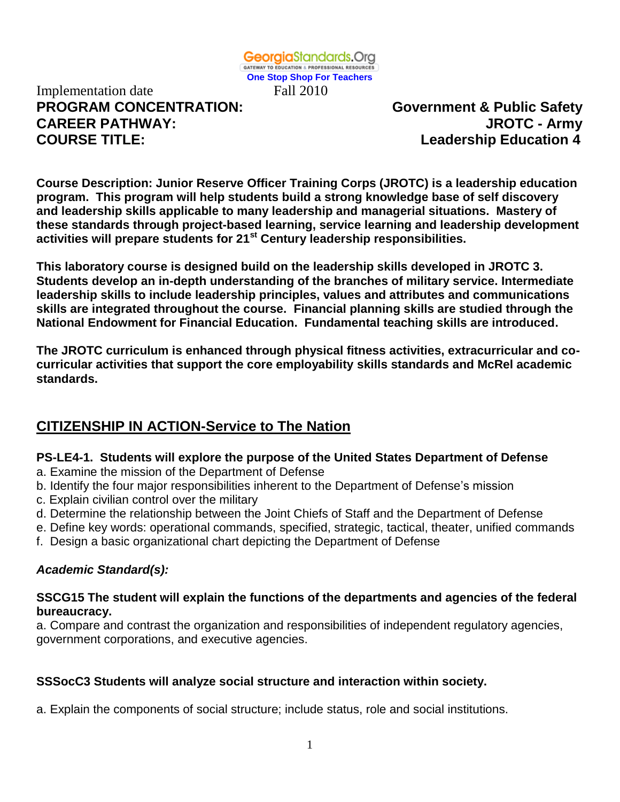Implementation date Fall 2010 **PROGRAM CONCENTRATION: Government & Public Safety CAREER PATHWAY: JROTC - Army COURSE TITLE:** COURSE **TITLE:** Leadership Education 4

**Course Description: Junior Reserve Officer Training Corps (JROTC) is a leadership education program. This program will help students build a strong knowledge base of self discovery and leadership skills applicable to many leadership and managerial situations. Mastery of these standards through project-based learning, service learning and leadership development activities will prepare students for 21st Century leadership responsibilities.**

**This laboratory course is designed build on the leadership skills developed in JROTC 3. Students develop an in-depth understanding of the branches of military service. Intermediate leadership skills to include leadership principles, values and attributes and communications skills are integrated throughout the course. Financial planning skills are studied through the National Endowment for Financial Education. Fundamental teaching skills are introduced.**

**The JROTC curriculum is enhanced through physical fitness activities, extracurricular and cocurricular activities that support the core employability skills standards and McRel academic standards.** 

# **CITIZENSHIP IN ACTION-Service to The Nation**

# **PS-LE4-1. Students will explore the purpose of the United States Department of Defense**

- a. Examine the mission of the Department of Defense
- b. Identify the four major responsibilities inherent to the Department of Defense's mission
- c. Explain civilian control over the military
- d. Determine the relationship between the Joint Chiefs of Staff and the Department of Defense
- e. Define key words: operational commands, specified, strategic, tactical, theater, unified commands
- f. Design a basic organizational chart depicting the Department of Defense

# *Academic Standard(s):*

# **SSCG15 The student will explain the functions of the departments and agencies of the federal bureaucracy.**

a. Compare and contrast the organization and responsibilities of independent regulatory agencies, government corporations, and executive agencies.

# **SSSocC3 Students will analyze social structure and interaction within society.**

a. Explain the components of social structure; include status, role and social institutions.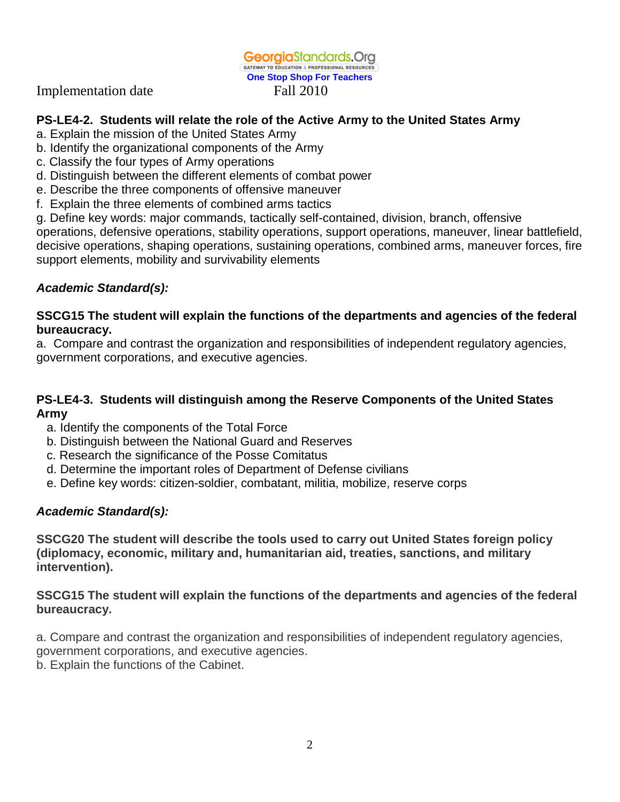Implementation date Fall 2010

# **PS-LE4-2. Students will relate the role of the Active Army to the United States Army**

- a. Explain the mission of the United States Army
- b. Identify the organizational components of the Army
- c. Classify the four types of Army operations
- d. Distinguish between the different elements of combat power
- e. Describe the three components of offensive maneuver
- f. Explain the three elements of combined arms tactics

g. Define key words: major commands, tactically self-contained, division, branch, offensive operations, defensive operations, stability operations, support operations, maneuver, linear battlefield, decisive operations, shaping operations, sustaining operations, combined arms, maneuver forces, fire support elements, mobility and survivability elements

# *Academic Standard(s):*

### **SSCG15 The student will explain the functions of the departments and agencies of the federal bureaucracy.**

a. Compare and contrast the organization and responsibilities of independent regulatory agencies, government corporations, and executive agencies.

### **PS-LE4-3. Students will distinguish among the Reserve Components of the United States Army**

- a. Identify the components of the Total Force
- b. Distinguish between the National Guard and Reserves
- c. Research the significance of the Posse Comitatus
- d. Determine the important roles of Department of Defense civilians
- e. Define key words: citizen-soldier, combatant, militia, mobilize, reserve corps

# *Academic Standard(s):*

**SSCG20 The student will describe the tools used to carry out United States foreign policy (diplomacy, economic, military and, humanitarian aid, treaties, sanctions, and military intervention).**

### **SSCG15 The student will explain the functions of the departments and agencies of the federal bureaucracy.**

a. Compare and contrast the organization and responsibilities of independent regulatory agencies, government corporations, and executive agencies. b. Explain the functions of the Cabinet.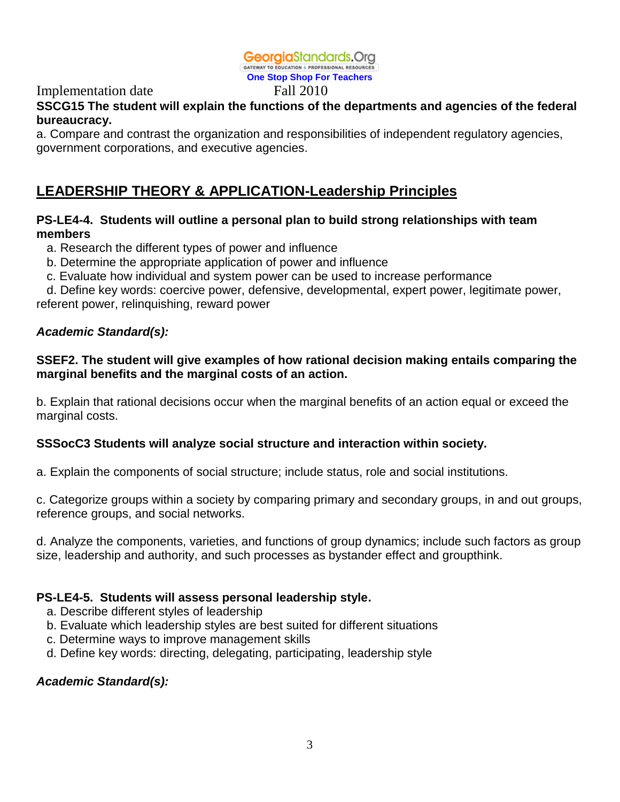#### **Georgia**Standards.Org GATEWAY TO EDUCATION & PROFESSIONAL RESOURCES

**One Stop Shop For Teachers**

#### Implementation date Fall 2010 **SSCG15 The student will explain the functions of the departments and agencies of the federal bureaucracy.**

a. Compare and contrast the organization and responsibilities of independent regulatory agencies, government corporations, and executive agencies.

# **LEADERSHIP THEORY & APPLICATION-Leadership Principles**

# **PS-LE4-4. Students will outline a personal plan to build strong relationships with team members**

- a. Research the different types of power and influence
- b. Determine the appropriate application of power and influence
- c. Evaluate how individual and system power can be used to increase performance

 d. Define key words: coercive power, defensive, developmental, expert power, legitimate power, referent power, relinquishing, reward power

# *Academic Standard(s):*

# **SSEF2. The student will give examples of how rational decision making entails comparing the marginal benefits and the marginal costs of an action.**

b. Explain that rational decisions occur when the marginal benefits of an action equal or exceed the marginal costs.

# **SSSocC3 Students will analyze social structure and interaction within society.**

a. Explain the components of social structure; include status, role and social institutions.

c. Categorize groups within a society by comparing primary and secondary groups, in and out groups, reference groups, and social networks.

d. Analyze the components, varieties, and functions of group dynamics; include such factors as group size, leadership and authority, and such processes as bystander effect and groupthink.

### **PS-LE4-5. Students will assess personal leadership style.**

- a. Describe different styles of leadership
- b. Evaluate which leadership styles are best suited for different situations
- c. Determine ways to improve management skills
- d. Define key words: directing, delegating, participating, leadership style

### *Academic Standard(s):*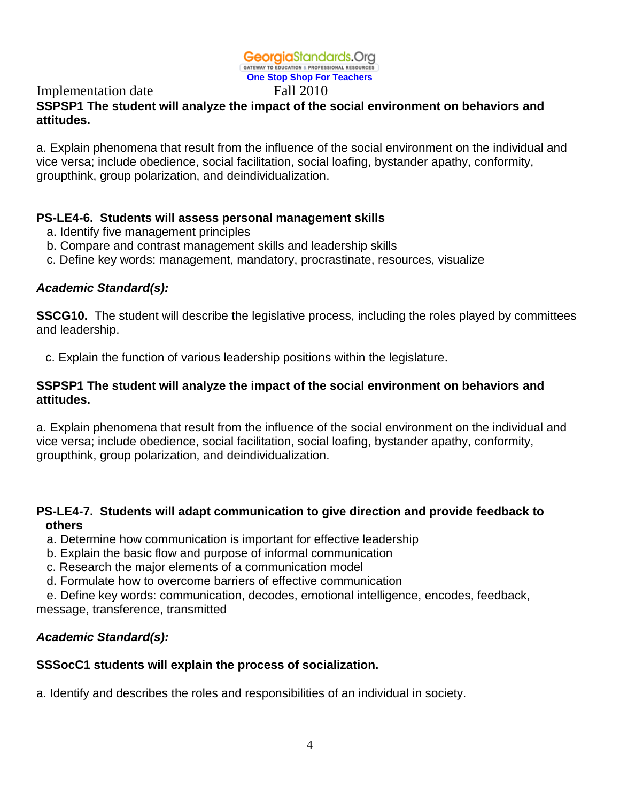### **Georgia**Standards.Org GATEWAY TO EDUCATION & PROFESSIONAL RESOURCES

**One Stop Shop For Teachers**

# Implementation date Fall 2010

# **SSPSP1 The student will analyze the impact of the social environment on behaviors and attitudes.**

a. Explain phenomena that result from the influence of the social environment on the individual and vice versa; include obedience, social facilitation, social loafing, bystander apathy, conformity, groupthink, group polarization, and deindividualization.

# **PS-LE4-6. Students will assess personal management skills**

- a. Identify five management principles
- b. Compare and contrast management skills and leadership skills
- c. Define key words: management, mandatory, procrastinate, resources, visualize

# *Academic Standard(s):*

**SSCG10.** The student will describe the legislative process, including the roles played by committees and leadership.

c. Explain the function of various leadership positions within the legislature.

# **SSPSP1 The student will analyze the impact of the social environment on behaviors and attitudes.**

a. Explain phenomena that result from the influence of the social environment on the individual and vice versa; include obedience, social facilitation, social loafing, bystander apathy, conformity, groupthink, group polarization, and deindividualization.

# **PS-LE4-7. Students will adapt communication to give direction and provide feedback to others**

- a. Determine how communication is important for effective leadership
- b. Explain the basic flow and purpose of informal communication
- c. Research the major elements of a communication model
- d. Formulate how to overcome barriers of effective communication

 e. Define key words: communication, decodes, emotional intelligence, encodes, feedback, message, transference, transmitted

# *Academic Standard(s):*

# **SSSocC1 students will explain the process of socialization.**

a. Identify and describes the roles and responsibilities of an individual in society.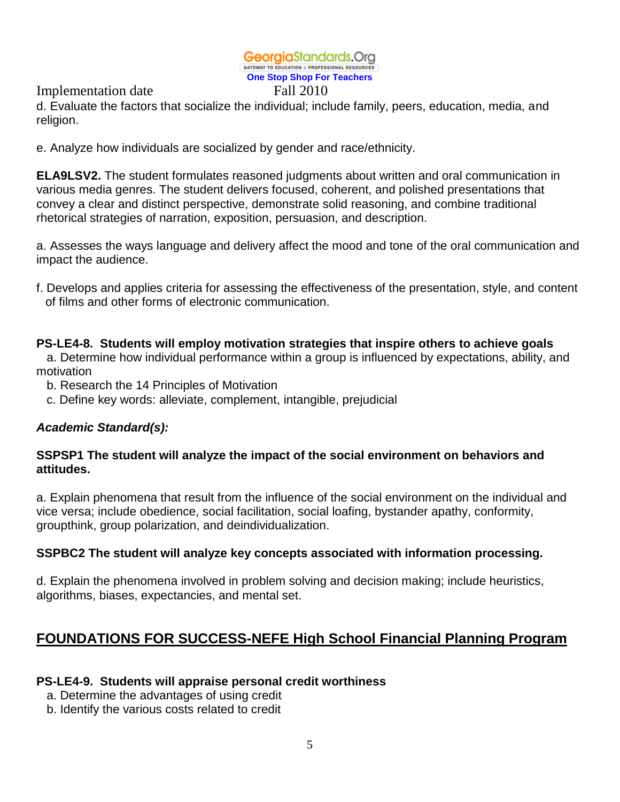Implementation date Fall 2010

d. Evaluate the factors that socialize the individual; include family, peers, education, media, and religion.

e. Analyze how individuals are socialized by gender and race/ethnicity.

**ELA9LSV2.** The student formulates reasoned judgments about written and oral communication in various media genres. The student delivers focused, coherent, and polished presentations that convey a clear and distinct perspective, demonstrate solid reasoning, and combine traditional rhetorical strategies of narration, exposition, persuasion, and description.

a. Assesses the ways language and delivery affect the mood and tone of the oral communication and impact the audience.

f. Develops and applies criteria for assessing the effectiveness of the presentation, style, and content of films and other forms of electronic communication.

### **PS-LE4-8. Students will employ motivation strategies that inspire others to achieve goals**

 a. Determine how individual performance within a group is influenced by expectations, ability, and motivation

- b. Research the 14 Principles of Motivation
- c. Define key words: alleviate, complement, intangible, prejudicial

### *Academic Standard(s):*

# **SSPSP1 The student will analyze the impact of the social environment on behaviors and attitudes.**

a. Explain phenomena that result from the influence of the social environment on the individual and vice versa; include obedience, social facilitation, social loafing, bystander apathy, conformity, groupthink, group polarization, and deindividualization.

### **SSPBC2 The student will analyze key concepts associated with information processing.**

d. Explain the phenomena involved in problem solving and decision making; include heuristics, algorithms, biases, expectancies, and mental set.

# **FOUNDATIONS FOR SUCCESS-NEFE High School Financial Planning Program**

### **PS-LE4-9. Students will appraise personal credit worthiness**

a. Determine the advantages of using credit

b. Identify the various costs related to credit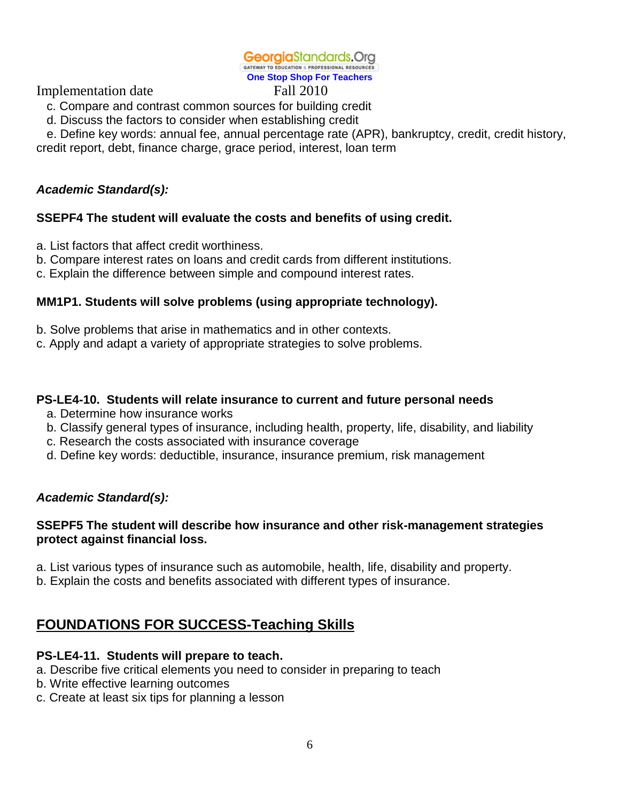Implementation date Fall 2010

- c. Compare and contrast common sources for building credit
- d. Discuss the factors to consider when establishing credit

 e. Define key words: annual fee, annual percentage rate (APR), bankruptcy, credit, credit history, credit report, debt, finance charge, grace period, interest, loan term

# *Academic Standard(s):*

# **SSEPF4 The student will evaluate the costs and benefits of using credit.**

a. List factors that affect credit worthiness.

- b. Compare interest rates on loans and credit cards from different institutions.
- c. Explain the difference between simple and compound interest rates.

# **MM1P1. Students will solve problems (using appropriate technology).**

- b. Solve problems that arise in mathematics and in other contexts.
- c. Apply and adapt a variety of appropriate strategies to solve problems.

# **PS-LE4-10. Students will relate insurance to current and future personal needs**

- a. Determine how insurance works
- b. Classify general types of insurance, including health, property, life, disability, and liability
- c. Research the costs associated with insurance coverage
- d. Define key words: deductible, insurance, insurance premium, risk management

# *Academic Standard(s):*

# **SSEPF5 The student will describe how insurance and other risk-management strategies protect against financial loss.**

- a. List various types of insurance such as automobile, health, life, disability and property.
- b. Explain the costs and benefits associated with different types of insurance.

# **FOUNDATIONS FOR SUCCESS-Teaching Skills**

### **PS-LE4-11. Students will prepare to teach.**

- a. Describe five critical elements you need to consider in preparing to teach
- b. Write effective learning outcomes
- c. Create at least six tips for planning a lesson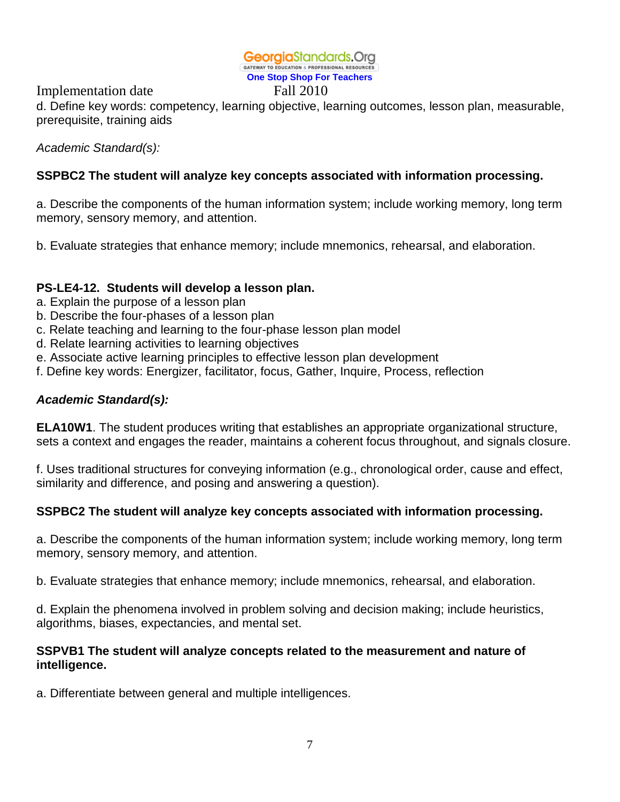Implementation date Fall 2010

d. Define key words: competency, learning objective, learning outcomes, lesson plan, measurable, prerequisite, training aids

*Academic Standard(s):* 

# **SSPBC2 The student will analyze key concepts associated with information processing.**

a. Describe the components of the human information system; include working memory, long term memory, sensory memory, and attention.

b. Evaluate strategies that enhance memory; include mnemonics, rehearsal, and elaboration.

# **PS-LE4-12. Students will develop a lesson plan.**

- a. Explain the purpose of a lesson plan
- b. Describe the four-phases of a lesson plan
- c. Relate teaching and learning to the four-phase lesson plan model
- d. Relate learning activities to learning objectives
- e. Associate active learning principles to effective lesson plan development
- f. Define key words: Energizer, facilitator, focus, Gather, Inquire, Process, reflection

# *Academic Standard(s):*

**ELA10W1**. The student produces writing that establishes an appropriate organizational structure, sets a context and engages the reader, maintains a coherent focus throughout, and signals closure.

f. Uses traditional structures for conveying information (e.g., chronological order, cause and effect, similarity and difference, and posing and answering a question).

# **SSPBC2 The student will analyze key concepts associated with information processing.**

a. Describe the components of the human information system; include working memory, long term memory, sensory memory, and attention.

b. Evaluate strategies that enhance memory; include mnemonics, rehearsal, and elaboration.

d. Explain the phenomena involved in problem solving and decision making; include heuristics, algorithms, biases, expectancies, and mental set.

### **SSPVB1 The student will analyze concepts related to the measurement and nature of intelligence.**

a. Differentiate between general and multiple intelligences.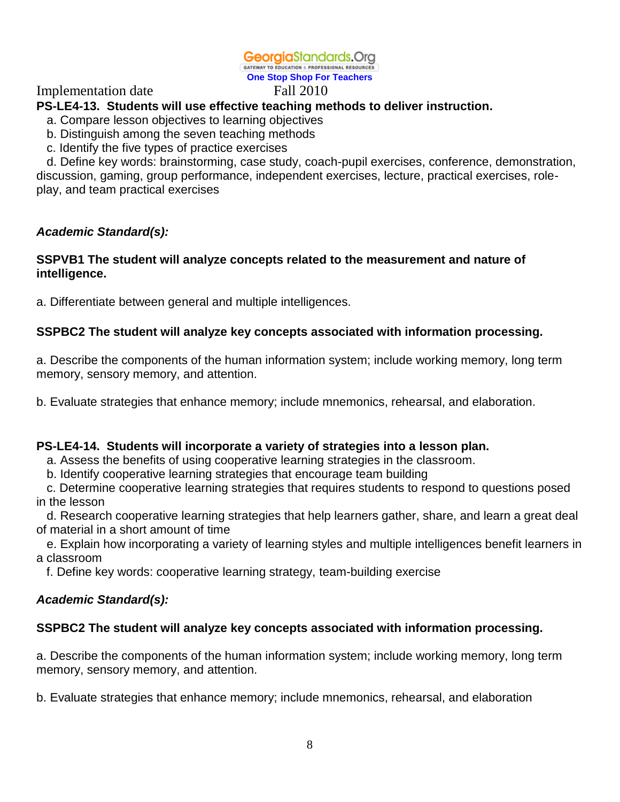### Implementation date Fall 2010

# **PS-LE4-13. Students will use effective teaching methods to deliver instruction.**

- a. Compare lesson objectives to learning objectives
- b. Distinguish among the seven teaching methods
- c. Identify the five types of practice exercises

 d. Define key words: brainstorming, case study, coach-pupil exercises, conference, demonstration, discussion, gaming, group performance, independent exercises, lecture, practical exercises, roleplay, and team practical exercises

### *Academic Standard(s):*

### **SSPVB1 The student will analyze concepts related to the measurement and nature of intelligence.**

a. Differentiate between general and multiple intelligences.

### **SSPBC2 The student will analyze key concepts associated with information processing.**

a. Describe the components of the human information system; include working memory, long term memory, sensory memory, and attention.

b. Evaluate strategies that enhance memory; include mnemonics, rehearsal, and elaboration.

### **PS-LE4-14. Students will incorporate a variety of strategies into a lesson plan.**

a. Assess the benefits of using cooperative learning strategies in the classroom.

b. Identify cooperative learning strategies that encourage team building

 c. Determine cooperative learning strategies that requires students to respond to questions posed in the lesson

 d. Research cooperative learning strategies that help learners gather, share, and learn a great deal of material in a short amount of time

 e. Explain how incorporating a variety of learning styles and multiple intelligences benefit learners in a classroom

f. Define key words: cooperative learning strategy, team-building exercise

### *Academic Standard(s):*

### **SSPBC2 The student will analyze key concepts associated with information processing.**

a. Describe the components of the human information system; include working memory, long term memory, sensory memory, and attention.

b. Evaluate strategies that enhance memory; include mnemonics, rehearsal, and elaboration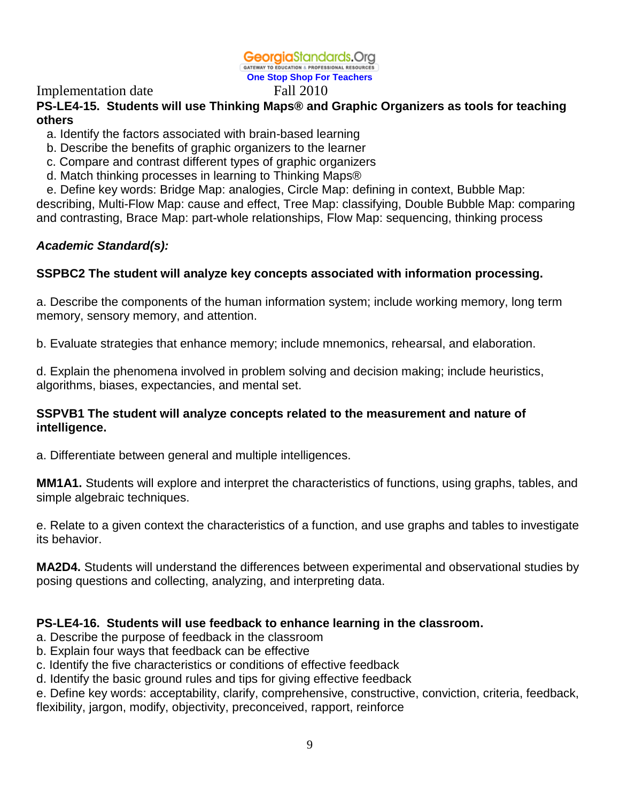# Implementation date Fall 2010

# **PS-LE4-15. Students will use Thinking Maps® and Graphic Organizers as tools for teaching others**

- a. Identify the factors associated with brain-based learning
- b. Describe the benefits of graphic organizers to the learner
- c. Compare and contrast different types of graphic organizers
- d. Match thinking processes in learning to Thinking Maps®
- e. Define key words: Bridge Map: analogies, Circle Map: defining in context, Bubble Map:

describing, Multi-Flow Map: cause and effect, Tree Map: classifying, Double Bubble Map: comparing and contrasting, Brace Map: part-whole relationships, Flow Map: sequencing, thinking process

# *Academic Standard(s):*

# **SSPBC2 The student will analyze key concepts associated with information processing.**

a. Describe the components of the human information system; include working memory, long term memory, sensory memory, and attention.

b. Evaluate strategies that enhance memory; include mnemonics, rehearsal, and elaboration.

d. Explain the phenomena involved in problem solving and decision making; include heuristics, algorithms, biases, expectancies, and mental set.

### **SSPVB1 The student will analyze concepts related to the measurement and nature of intelligence.**

a. Differentiate between general and multiple intelligences.

**MM1A1.** Students will explore and interpret the characteristics of functions, using graphs, tables, and simple algebraic techniques.

e. Relate to a given context the characteristics of a function, and use graphs and tables to investigate its behavior.

**MA2D4.** Students will understand the differences between experimental and observational studies by posing questions and collecting, analyzing, and interpreting data.

# **PS-LE4-16. Students will use feedback to enhance learning in the classroom.**

a. Describe the purpose of feedback in the classroom

- b. Explain four ways that feedback can be effective
- c. Identify the five characteristics or conditions of effective feedback
- d. Identify the basic ground rules and tips for giving effective feedback

e. Define key words: acceptability, clarify, comprehensive, constructive, conviction, criteria, feedback, flexibility, jargon, modify, objectivity, preconceived, rapport, reinforce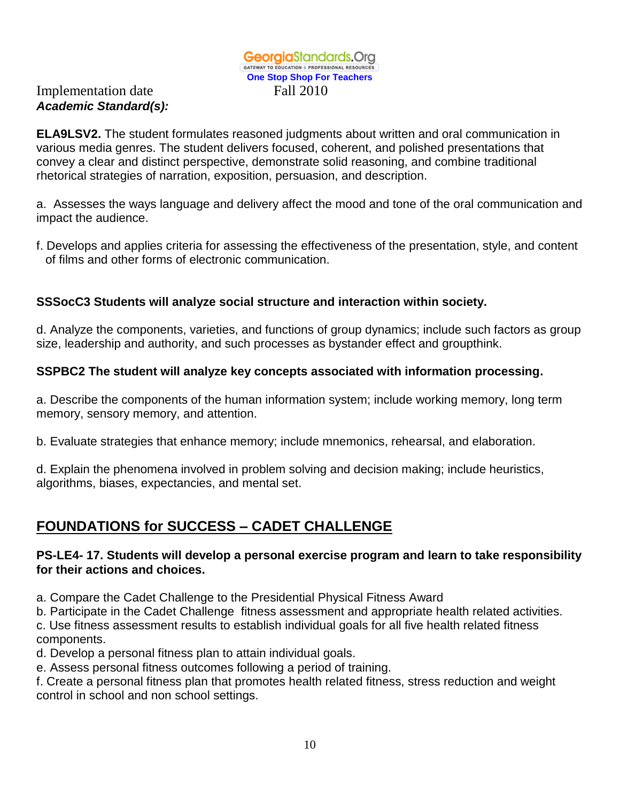# Implementation date Fall 2010 *Academic Standard(s):*

**ELA9LSV2.** The student formulates reasoned judgments about written and oral communication in various media genres. The student delivers focused, coherent, and polished presentations that convey a clear and distinct perspective, demonstrate solid reasoning, and combine traditional rhetorical strategies of narration, exposition, persuasion, and description.

a. Assesses the ways language and delivery affect the mood and tone of the oral communication and impact the audience.

f. Develops and applies criteria for assessing the effectiveness of the presentation, style, and content of films and other forms of electronic communication.

# **SSSocC3 Students will analyze social structure and interaction within society.**

d. Analyze the components, varieties, and functions of group dynamics; include such factors as group size, leadership and authority, and such processes as bystander effect and groupthink.

# **SSPBC2 The student will analyze key concepts associated with information processing.**

a. Describe the components of the human information system; include working memory, long term memory, sensory memory, and attention.

b. Evaluate strategies that enhance memory; include mnemonics, rehearsal, and elaboration.

d. Explain the phenomena involved in problem solving and decision making; include heuristics, algorithms, biases, expectancies, and mental set.

# **FOUNDATIONS for SUCCESS – CADET CHALLENGE**

# **PS-LE4- 17. Students will develop a personal exercise program and learn to take responsibility for their actions and choices.**

a. Compare the Cadet Challenge to the Presidential Physical Fitness Award

b. Participate in the Cadet Challenge fitness assessment and appropriate health related activities.

c. Use fitness assessment results to establish individual goals for all five health related fitness components.

d. Develop a personal fitness plan to attain individual goals.

e. Assess personal fitness outcomes following a period of training.

f. Create a personal fitness plan that promotes health related fitness, stress reduction and weight control in school and non school settings.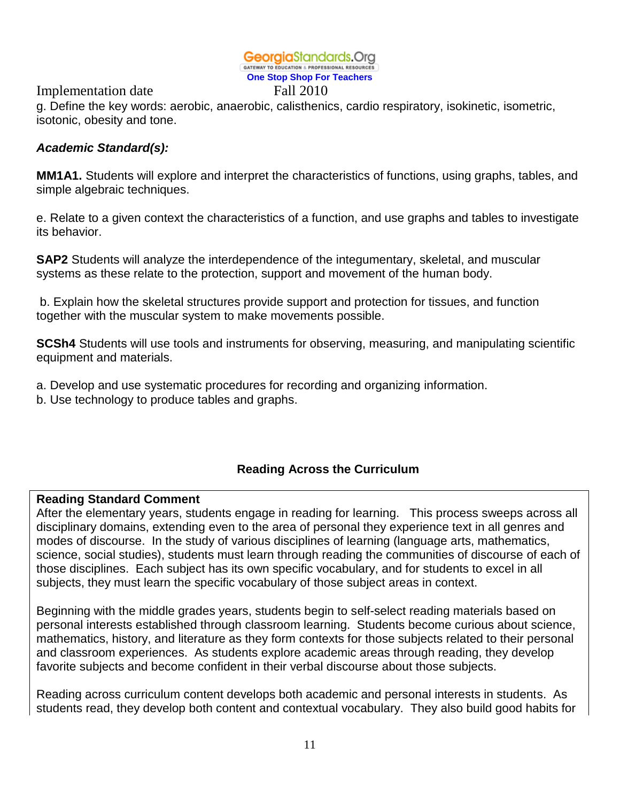Implementation date Fall 2010

g. Define the key words: aerobic, anaerobic, calisthenics, cardio respiratory, isokinetic, isometric, isotonic, obesity and tone.

# *Academic Standard(s):*

**MM1A1.** Students will explore and interpret the characteristics of functions, using graphs, tables, and simple algebraic techniques.

e. Relate to a given context the characteristics of a function, and use graphs and tables to investigate its behavior.

**SAP2** Students will analyze the interdependence of the integumentary, skeletal, and muscular systems as these relate to the protection, support and movement of the human body.

b. Explain how the skeletal structures provide support and protection for tissues, and function together with the muscular system to make movements possible.

**SCSh4** Students will use tools and instruments for observing, measuring, and manipulating scientific equipment and materials.

a. Develop and use systematic procedures for recording and organizing information.

b. Use technology to produce tables and graphs.

# **Reading Across the Curriculum**

### **Reading Standard Comment**

After the elementary years, students engage in reading for learning. This process sweeps across all disciplinary domains, extending even to the area of personal they experience text in all genres and modes of discourse. In the study of various disciplines of learning (language arts, mathematics, science, social studies), students must learn through reading the communities of discourse of each of those disciplines. Each subject has its own specific vocabulary, and for students to excel in all subjects, they must learn the specific vocabulary of those subject areas in context.

Beginning with the middle grades years, students begin to self-select reading materials based on personal interests established through classroom learning. Students become curious about science, mathematics, history, and literature as they form contexts for those subjects related to their personal and classroom experiences. As students explore academic areas through reading, they develop favorite subjects and become confident in their verbal discourse about those subjects.

Reading across curriculum content develops both academic and personal interests in students. As students read, they develop both content and contextual vocabulary. They also build good habits for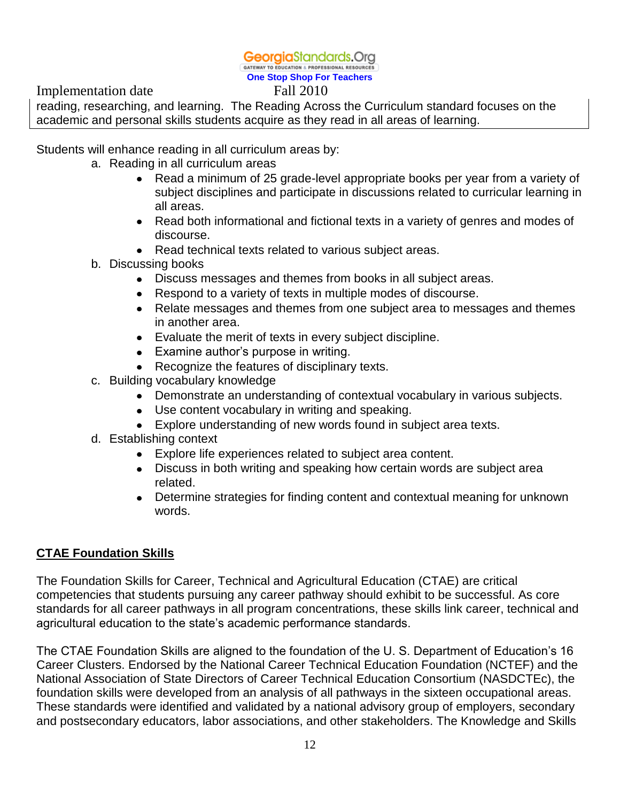Implementation date Fall 2010

reading, researching, and learning. The Reading Across the Curriculum standard focuses on the academic and personal skills students acquire as they read in all areas of learning.

Students will enhance reading in all curriculum areas by:

- a. Reading in all curriculum areas
	- Read a minimum of 25 grade-level appropriate books per year from a variety of subject disciplines and participate in discussions related to curricular learning in all areas.
	- Read both informational and fictional texts in a variety of genres and modes of discourse.
	- Read technical texts related to various subject areas.
- b. Discussing books
	- Discuss messages and themes from books in all subject areas.
	- Respond to a variety of texts in multiple modes of discourse.
	- Relate messages and themes from one subject area to messages and themes in another area.
	- Evaluate the merit of texts in every subject discipline.
	- Examine author's purpose in writing.
	- Recognize the features of disciplinary texts.
- c. Building vocabulary knowledge
	- Demonstrate an understanding of contextual vocabulary in various subjects.
	- Use content vocabulary in writing and speaking.
	- Explore understanding of new words found in subject area texts.
- d. Establishing context
	- Explore life experiences related to subject area content.
	- Discuss in both writing and speaking how certain words are subject area related.
	- Determine strategies for finding content and contextual meaning for unknown words.

# **CTAE Foundation Skills**

The Foundation Skills for Career, Technical and Agricultural Education (CTAE) are critical competencies that students pursuing any career pathway should exhibit to be successful. As core standards for all career pathways in all program concentrations, these skills link career, technical and agricultural education to the state's academic performance standards.

The CTAE Foundation Skills are aligned to the foundation of the U. S. Department of Education's 16 Career Clusters. Endorsed by the National Career Technical Education Foundation (NCTEF) and the National Association of State Directors of Career Technical Education Consortium (NASDCTEc), the foundation skills were developed from an analysis of all pathways in the sixteen occupational areas. These standards were identified and validated by a national advisory group of employers, secondary and postsecondary educators, labor associations, and other stakeholders. The Knowledge and Skills